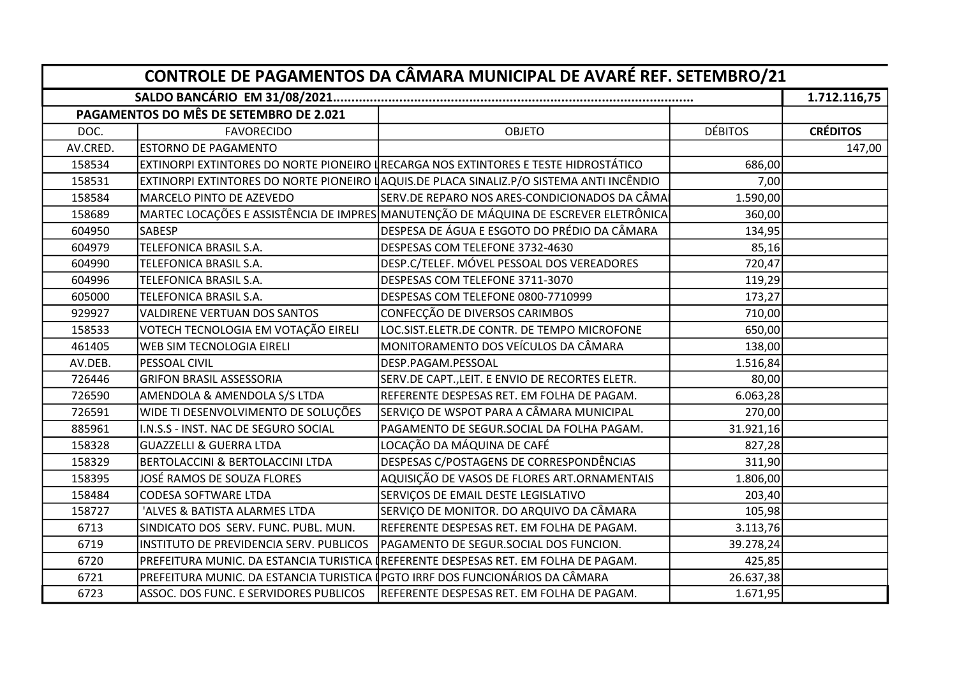| CONTROLE DE PAGAMENTOS DA CÂMARA MUNICIPAL DE AVARÉ REF. SETEMBRO/21 |                                         |                                                                                          |                |                 |  |  |  |  |
|----------------------------------------------------------------------|-----------------------------------------|------------------------------------------------------------------------------------------|----------------|-----------------|--|--|--|--|
|                                                                      |                                         |                                                                                          |                |                 |  |  |  |  |
| PAGAMENTOS DO MÊS DE SETEMBRO DE 2.021                               |                                         |                                                                                          |                |                 |  |  |  |  |
| DOC.                                                                 | <b>FAVORECIDO</b>                       | <b>OBJETO</b>                                                                            | <b>DÉBITOS</b> | <b>CRÉDITOS</b> |  |  |  |  |
| AV.CRED.                                                             | <b>ESTORNO DE PAGAMENTO</b>             |                                                                                          |                | 147,00          |  |  |  |  |
| 158534                                                               |                                         | EXTINORPI EXTINTORES DO NORTE PIONEIRO LRECARGA NOS EXTINTORES E TESTE HIDROSTÁTICO      | 686,00         |                 |  |  |  |  |
| 158531                                                               |                                         | EXTINORPI EXTINTORES DO NORTE PIONEIRO LAQUIS.DE PLACA SINALIZ.P/O SISTEMA ANTI INCÊNDIO | 7,00           |                 |  |  |  |  |
| 158584                                                               | MARCELO PINTO DE AZEVEDO                | SERV.DE REPARO NOS ARES-CONDICIONADOS DA CÂMA                                            | 1.590,00       |                 |  |  |  |  |
| 158689                                                               |                                         | MARTEC LOCAÇÕES E ASSISTÊNCIA DE IMPRES MANUTENÇÃO DE MÁQUINA DE ESCREVER ELETRÔNICA     | 360,00         |                 |  |  |  |  |
| 604950                                                               | <b>SABESP</b>                           | DESPESA DE ÁGUA E ESGOTO DO PRÉDIO DA CÂMARA                                             | 134,95         |                 |  |  |  |  |
| 604979                                                               | TELEFONICA BRASIL S.A.                  | DESPESAS COM TELEFONE 3732-4630                                                          | 85,16          |                 |  |  |  |  |
| 604990                                                               | TELEFONICA BRASIL S.A.                  | DESP.C/TELEF. MÓVEL PESSOAL DOS VEREADORES                                               | 720,47         |                 |  |  |  |  |
| 604996                                                               | TELEFONICA BRASIL S.A.                  | DESPESAS COM TELEFONE 3711-3070                                                          | 119,29         |                 |  |  |  |  |
| 605000                                                               | TELEFONICA BRASIL S.A.                  | DESPESAS COM TELEFONE 0800-7710999                                                       | 173,27         |                 |  |  |  |  |
| 929927                                                               | <b>VALDIRENE VERTUAN DOS SANTOS</b>     | CONFECÇÃO DE DIVERSOS CARIMBOS                                                           | 710,00         |                 |  |  |  |  |
| 158533                                                               | VOTECH TECNOLOGIA EM VOTAÇÃO EIRELI     | LOC.SIST.ELETR.DE CONTR. DE TEMPO MICROFONE                                              | 650,00         |                 |  |  |  |  |
| 461405                                                               | WEB SIM TECNOLOGIA EIRELI               | MONITORAMENTO DOS VEÍCULOS DA CÂMARA                                                     | 138,00         |                 |  |  |  |  |
| AV.DEB.                                                              | PESSOAL CIVIL                           | DESP.PAGAM.PESSOAL                                                                       | 1.516,84       |                 |  |  |  |  |
| 726446                                                               | <b>GRIFON BRASIL ASSESSORIA</b>         | SERV.DE CAPT., LEIT. E ENVIO DE RECORTES ELETR.                                          | 80,00          |                 |  |  |  |  |
| 726590                                                               | AMENDOLA & AMENDOLA S/S LTDA            | REFERENTE DESPESAS RET. EM FOLHA DE PAGAM.                                               | 6.063,28       |                 |  |  |  |  |
| 726591                                                               | WIDE TI DESENVOLVIMENTO DE SOLUÇÕES     | SERVIÇO DE WSPOT PARA A CÂMARA MUNICIPAL                                                 | 270,00         |                 |  |  |  |  |
| 885961                                                               | I.N.S.S - INST. NAC DE SEGURO SOCIAL    | PAGAMENTO DE SEGUR.SOCIAL DA FOLHA PAGAM.                                                | 31.921,16      |                 |  |  |  |  |
| 158328                                                               | <b>GUAZZELLI &amp; GUERRA LTDA</b>      | LOCAÇÃO DA MÁQUINA DE CAFÉ                                                               | 827,28         |                 |  |  |  |  |
| 158329                                                               | BERTOLACCINI & BERTOLACCINI LTDA        | DESPESAS C/POSTAGENS DE CORRESPONDÊNCIAS                                                 | 311,90         |                 |  |  |  |  |
| 158395                                                               | JOSÉ RAMOS DE SOUZA FLORES              | AQUISIÇÃO DE VASOS DE FLORES ART.ORNAMENTAIS                                             | 1.806,00       |                 |  |  |  |  |
| 158484                                                               | <b>CODESA SOFTWARE LTDA</b>             | SERVIÇOS DE EMAIL DESTE LEGISLATIVO                                                      | 203,40         |                 |  |  |  |  |
| 158727                                                               | 'ALVES & BATISTA ALARMES LTDA           | SERVIÇO DE MONITOR. DO ARQUIVO DA CÂMARA                                                 | 105,98         |                 |  |  |  |  |
| 6713                                                                 | SINDICATO DOS SERV. FUNC. PUBL. MUN.    | REFERENTE DESPESAS RET. EM FOLHA DE PAGAM.                                               | 3.113,76       |                 |  |  |  |  |
| 6719                                                                 | INSTITUTO DE PREVIDENCIA SERV. PUBLICOS | PAGAMENTO DE SEGUR.SOCIAL DOS FUNCION.                                                   | 39.278,24      |                 |  |  |  |  |
| 6720                                                                 |                                         | PREFEITURA MUNIC. DA ESTANCIA TURISTICA (REFERENTE DESPESAS RET. EM FOLHA DE PAGAM.      | 425,85         |                 |  |  |  |  |
| 6721                                                                 | PREFEITURA MUNIC. DA ESTANCIA TURISTICA | <b>I PGTO IRRF DOS FUNCIONÁRIOS DA CÂMARA</b>                                            | 26.637,38      |                 |  |  |  |  |
| 6723                                                                 | ASSOC. DOS FUNC. E SERVIDORES PUBLICOS  | REFERENTE DESPESAS RET. EM FOLHA DE PAGAM.                                               | 1.671,95       |                 |  |  |  |  |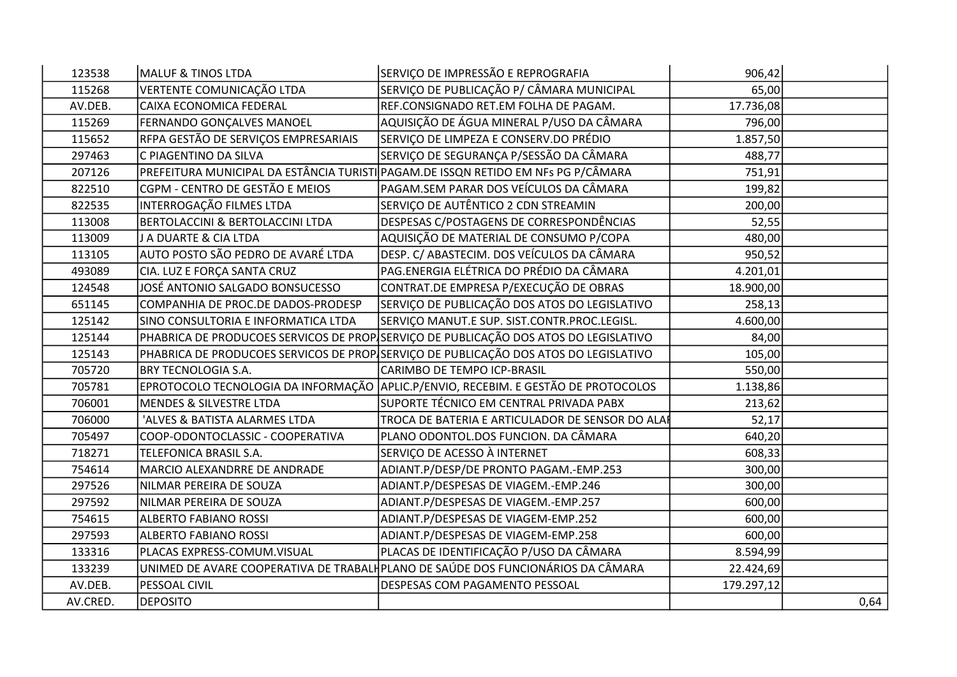| 123538   | <b>MALUF &amp; TINOS LTDA</b>        | SERVIÇO DE IMPRESSÃO E REPROGRAFIA                                                   | 906,42     |      |
|----------|--------------------------------------|--------------------------------------------------------------------------------------|------------|------|
| 115268   | VERTENTE COMUNICAÇÃO LTDA            | SERVIÇO DE PUBLICAÇÃO P/ CÂMARA MUNICIPAL                                            | 65,00      |      |
| AV.DEB.  | CAIXA ECONOMICA FEDERAL              | REF.CONSIGNADO RET.EM FOLHA DE PAGAM.                                                | 17.736,08  |      |
| 115269   | FERNANDO GONÇALVES MANOEL            | AQUISIÇÃO DE ÁGUA MINERAL P/USO DA CÂMARA                                            | 796,00     |      |
| 115652   | RFPA GESTÃO DE SERVIÇOS EMPRESARIAIS | SERVIÇO DE LIMPEZA E CONSERV.DO PRÉDIO                                               | 1.857,50   |      |
| 297463   | C PIAGENTINO DA SILVA                | SERVIÇO DE SEGURANÇA P/SESSÃO DA CÂMARA                                              | 488,77     |      |
| 207126   |                                      | PREFEITURA MUNICIPAL DA ESTÂNCIA TURISTI PAGAM.DE ISSON RETIDO EM NFS PG P/CÂMARA    | 751,91     |      |
| 822510   | CGPM - CENTRO DE GESTÃO E MEIOS      | PAGAM.SEM PARAR DOS VEÍCULOS DA CÂMARA                                               | 199,82     |      |
| 822535   | INTERROGAÇÃO FILMES LTDA             | SERVIÇO DE AUTÊNTICO 2 CDN STREAMIN                                                  | 200,00     |      |
| 113008   | BERTOLACCINI & BERTOLACCINI LTDA     | DESPESAS C/POSTAGENS DE CORRESPONDÊNCIAS                                             | 52,55      |      |
| 113009   | J A DUARTE & CIA LTDA                | AQUISIÇÃO DE MATERIAL DE CONSUMO P/COPA                                              | 480,00     |      |
| 113105   | AUTO POSTO SÃO PEDRO DE AVARÉ LTDA   | DESP. C/ ABASTECIM. DOS VEÍCULOS DA CÂMARA                                           | 950,52     |      |
| 493089   | CIA. LUZ E FORÇA SANTA CRUZ          | PAG.ENERGIA ELÉTRICA DO PRÉDIO DA CÂMARA                                             | 4.201,01   |      |
| 124548   | JOSÉ ANTONIO SALGADO BONSUCESSO      | CONTRAT.DE EMPRESA P/EXECUÇÃO DE OBRAS                                               | 18.900,00  |      |
| 651145   | COMPANHIA DE PROC.DE DADOS-PRODESP   | SERVIÇO DE PUBLICAÇÃO DOS ATOS DO LEGISLATIVO                                        | 258,13     |      |
| 125142   | SINO CONSULTORIA E INFORMATICA LTDA  | SERVIÇO MANUT.E SUP. SIST.CONTR.PROC.LEGISL.                                         | 4.600,00   |      |
| 125144   |                                      | PHABRICA DE PRODUCOES SERVICOS DE PROP SERVIÇO DE PUBLICAÇÃO DOS ATOS DO LEGISLATIVO | 84,00      |      |
| 125143   |                                      | PHABRICA DE PRODUCOES SERVICOS DE PROP SERVIÇO DE PUBLICAÇÃO DOS ATOS DO LEGISLATIVO | 105,00     |      |
| 705720   | BRY TECNOLOGIA S.A.                  | CARIMBO DE TEMPO ICP-BRASIL                                                          | 550,00     |      |
| 705781   |                                      | EPROTOCOLO TECNOLOGIA DA INFORMAÇÃO APLIC.P/ENVIO, RECEBIM. E GESTÃO DE PROTOCOLOS   | 1.138,86   |      |
| 706001   | MENDES & SILVESTRE LTDA              | SUPORTE TÉCNICO EM CENTRAL PRIVADA PABX                                              | 213,62     |      |
| 706000   | 'ALVES & BATISTA ALARMES LTDA        | TROCA DE BATERIA E ARTICULADOR DE SENSOR DO ALAÍ                                     | 52,17      |      |
| 705497   | COOP-ODONTOCLASSIC - COOPERATIVA     | PLANO ODONTOL.DOS FUNCION. DA CÂMARA                                                 | 640,20     |      |
| 718271   | TELEFONICA BRASIL S.A.               | SERVIÇO DE ACESSO À INTERNET                                                         | 608,33     |      |
| 754614   | MARCIO ALEXANDRRE DE ANDRADE         | ADIANT.P/DESP/DE PRONTO PAGAM.-EMP.253                                               | 300,00     |      |
| 297526   | NILMAR PEREIRA DE SOUZA              | ADIANT.P/DESPESAS DE VIAGEM.-EMP.246                                                 | 300,00     |      |
| 297592   | NILMAR PEREIRA DE SOUZA              | ADIANT.P/DESPESAS DE VIAGEM.-EMP.257                                                 | 600,00     |      |
| 754615   | ALBERTO FABIANO ROSSI                | ADIANT.P/DESPESAS DE VIAGEM-EMP.252                                                  | 600,00     |      |
| 297593   | ALBERTO FABIANO ROSSI                | ADIANT.P/DESPESAS DE VIAGEM-EMP.258                                                  | 600,00     |      |
| 133316   | PLACAS EXPRESS-COMUM.VISUAL          | PLACAS DE IDENTIFICAÇÃO P/USO DA CÂMARA                                              | 8.594,99   |      |
| 133239   |                                      | UNIMED DE AVARE COOPERATIVA DE TRABALHPLANO DE SAÚDE DOS FUNCIONÁRIOS DA CÂMARA      | 22.424,69  |      |
| AV.DEB.  | PESSOAL CIVIL                        | <b>DESPESAS COM PAGAMENTO PESSOAL</b>                                                | 179.297,12 |      |
| AV.CRED. | <b>DEPOSITO</b>                      |                                                                                      |            | 0,64 |